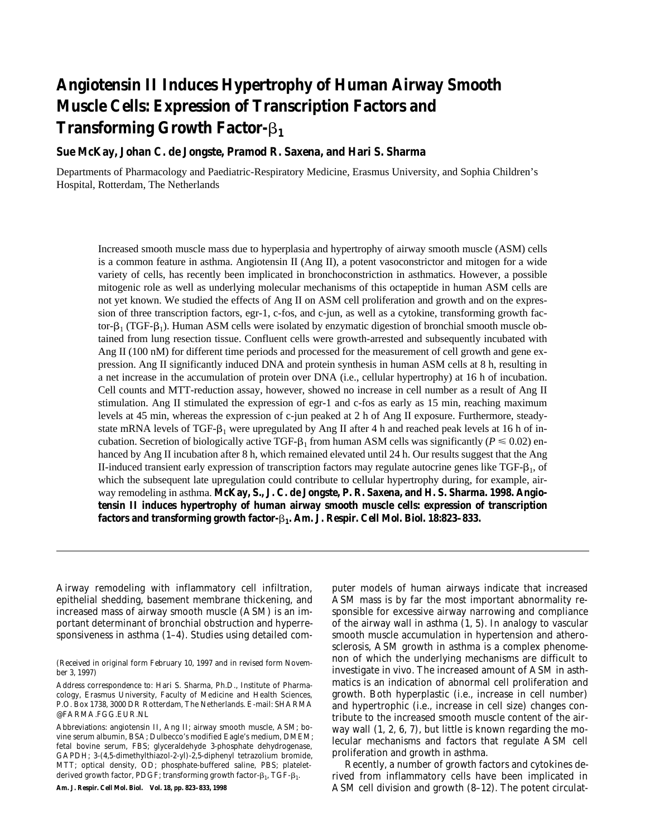# **Angiotensin II Induces Hypertrophy of Human Airway Smooth Muscle Cells: Expression of Transcription Factors and Transforming Growth Factor-**b**<sup>1</sup>**

## **Sue McKay, Johan C. de Jongste, Pramod R. Saxena, and Hari S. Sharma**

Departments of Pharmacology and Paediatric-Respiratory Medicine, Erasmus University, and Sophia Children's Hospital, Rotterdam, The Netherlands

Increased smooth muscle mass due to hyperplasia and hypertrophy of airway smooth muscle (ASM) cells is a common feature in asthma. Angiotensin II (Ang II), a potent vasoconstrictor and mitogen for a wide variety of cells, has recently been implicated in bronchoconstriction in asthmatics. However, a possible mitogenic role as well as underlying molecular mechanisms of this octapeptide in human ASM cells are not yet known. We studied the effects of Ang II on ASM cell proliferation and growth and on the expression of three transcription factors, egr-1, c-fos, and c-jun, as well as a cytokine, transforming growth factor- $\beta_1$  (TGF- $\beta_1$ ). Human ASM cells were isolated by enzymatic digestion of bronchial smooth muscle obtained from lung resection tissue. Confluent cells were growth-arrested and subsequently incubated with Ang II (100 nM) for different time periods and processed for the measurement of cell growth and gene expression. Ang II significantly induced DNA and protein synthesis in human ASM cells at 8 h, resulting in a net increase in the accumulation of protein over DNA (i.e., cellular hypertrophy) at 16 h of incubation. Cell counts and MTT-reduction assay, however, showed no increase in cell number as a result of Ang II stimulation. Ang II stimulated the expression of egr-1 and c-fos as early as 15 min, reaching maximum levels at 45 min, whereas the expression of c-jun peaked at 2 h of Ang II exposure. Furthermore, steadystate mRNA levels of TGF- $\beta_1$  were upregulated by Ang II after 4 h and reached peak levels at 16 h of incubation. Secretion of biologically active TGF- $\beta_1$  from human ASM cells was significantly ( $P \le 0.02$ ) enhanced by Ang II incubation after 8 h, which remained elevated until 24 h. Our results suggest that the Ang II-induced transient early expression of transcription factors may regulate autocrine genes like TGF- $\beta_1$ , of which the subsequent late upregulation could contribute to cellular hypertrophy during, for example, airway remodeling in asthma. **McKay, S., J. C. de Jongste, P. R. Saxena, and H. S. Sharma. 1998. Angiotensin II induces hypertrophy of human airway smooth muscle cells: expression of transcription factors and transforming growth factor-**b**1. Am. J. Respir. Cell Mol. Biol. 18:823–833.**

Airway remodeling with inflammatory cell infiltration, epithelial shedding, basement membrane thickening, and increased mass of airway smooth muscle (ASM) is an important determinant of bronchial obstruction and hyperresponsiveness in asthma (1–4). Studies using detailed com-

(*Received in original form February 10, 1997 and in revised form November 3, 1997*)

**Am. J. Respir. Cell Mol. Biol. Vol. 18, pp. 823–833, 1998**

puter models of human airways indicate that increased ASM mass is by far the most important abnormality responsible for excessive airway narrowing and compliance of the airway wall in asthma (1, 5). In analogy to vascular smooth muscle accumulation in hypertension and atherosclerosis, ASM growth in asthma is a complex phenomenon of which the underlying mechanisms are difficult to investigate *in vivo*. The increased amount of ASM in asthmatics is an indication of abnormal cell proliferation and growth. Both hyperplastic (i.e., increase in cell number) and hypertrophic (i.e., increase in cell size) changes contribute to the increased smooth muscle content of the airway wall (1, 2, 6, 7), but little is known regarding the molecular mechanisms and factors that regulate ASM cell proliferation and growth in asthma.

Recently, a number of growth factors and cytokines derived from inflammatory cells have been implicated in ASM cell division and growth (8–12). The potent circulat-

*Address correspondence to:* Hari S. Sharma, Ph.D., Institute of Pharmacology, Erasmus University, Faculty of Medicine and Health Sciences, P.O. Box 1738, 3000 DR Rotterdam, The Netherlands. E-mail: SHARMA @FARMA.FGG.EUR.NL

*Abbreviations:* angiotensin II, Ang II; airway smooth muscle, ASM; bovine serum albumin, BSA; Dulbecco's modified Eagle's medium, DMEM; fetal bovine serum, FBS; glyceraldehyde 3-phosphate dehydrogenase, GAPDH; 3-(4,5-dimethylthiazol-2-yl)-2,5-diphenyl tetrazolium bromide, MTT; optical density, OD; phosphate-buffered saline, PBS; plateletderived growth factor, PDGF; transforming growth factor- $\beta_1$ , TGF- $\beta_1$ .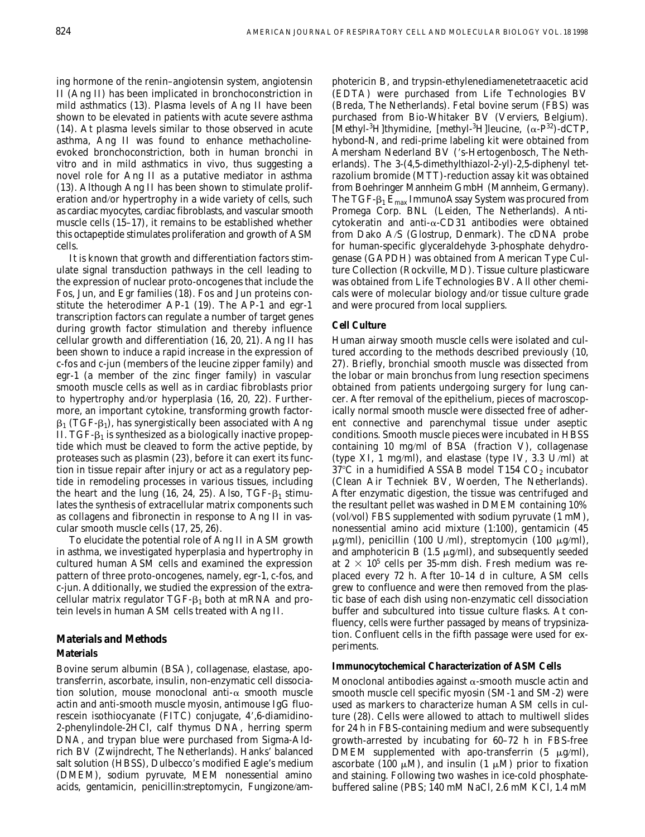ing hormone of the renin–angiotensin system, angiotensin II (Ang II) has been implicated in bronchoconstriction in mild asthmatics (13). Plasma levels of Ang II have been shown to be elevated in patients with acute severe asthma (14). At plasma levels similar to those observed in acute asthma, Ang II was found to enhance methacholineevoked bronchoconstriction, both in human bronchi *in vitro* and in mild asthmatics *in vivo*, thus suggesting a novel role for Ang II as a putative mediator in asthma (13). Although Ang II has been shown to stimulate proliferation and/or hypertrophy in a wide variety of cells, such as cardiac myocytes, cardiac fibroblasts, and vascular smooth muscle cells (15–17), it remains to be established whether this octapeptide stimulates proliferation and growth of ASM cells.

It is known that growth and differentiation factors stimulate signal transduction pathways in the cell leading to the expression of nuclear proto-oncogenes that include the Fos, Jun, and Egr families (18). Fos and Jun proteins constitute the heterodimer AP-1 (19). The AP-1 and egr-1 transcription factors can regulate a number of target genes during growth factor stimulation and thereby influence cellular growth and differentiation (16, 20, 21). Ang II has been shown to induce a rapid increase in the expression of c-fos and c-jun (members of the leucine zipper family) and egr-1 (a member of the zinc finger family) in vascular smooth muscle cells as well as in cardiac fibroblasts prior to hypertrophy and/or hyperplasia (16, 20, 22). Furthermore, an important cytokine, transforming growth factor- $\beta_1$  (TGF- $\beta_1$ ), has synergistically been associated with Ang II. TGF- $\beta_1$  is synthesized as a biologically inactive propeptide which must be cleaved to form the active peptide, by proteases such as plasmin (23), before it can exert its function in tissue repair after injury or act as a regulatory peptide in remodeling processes in various tissues, including the heart and the lung (16, 24, 25). Also, TGF- $\beta_1$  stimulates the synthesis of extracellular matrix components such as collagens and fibronectin in response to Ang II in vascular smooth muscle cells (17, 25, 26).

To elucidate the potential role of Ang II in ASM growth in asthma, we investigated hyperplasia and hypertrophy in cultured human ASM cells and examined the expression pattern of three proto-oncogenes, namely, egr-1, c-fos, and c-jun. Additionally, we studied the expression of the extracellular matrix regulator  $TGF-<sub>1</sub>$  both at mRNA and protein levels in human ASM cells treated with Ang II.

#### **Materials and Methods**

#### **Materials**

Bovine serum albumin (BSA), collagenase, elastase, apotransferrin, ascorbate, insulin, non-enzymatic cell dissociation solution, mouse monoclonal anti- $\alpha$  smooth muscle actin and anti-smooth muscle myosin, antimouse IgG fluorescein isothiocyanate (FITC) conjugate, 4',6-diamidino-2-phenylindole-2HCl, calf thymus DNA, herring sperm DNA, and trypan blue were purchased from Sigma-Aldrich BV (Zwijndrecht, The Netherlands). Hanks' balanced salt solution (HBSS), Dulbecco's modified Eagle's medium (DMEM), sodium pyruvate, MEM nonessential amino acids, gentamicin, penicillin:streptomycin, Fungizone/am-

photericin B, and trypsin-ethylenediamenetetraacetic acid (EDTA) were purchased from Life Technologies BV (Breda, The Netherlands). Fetal bovine serum (FBS) was purchased from Bio-Whitaker BV (Verviers, Belgium). [*Methyl*-<sup>3</sup>H]thymidine, [*methyl*-<sup>3</sup>H]leucine, (α-P<sup>32</sup>)-dCTP, hybond-N, and redi-prime labeling kit were obtained from Amersham Nederland BV ('s-Hertogenbosch, The Netherlands). The 3-(4,5-dimethylthiazol-2-yl)-2,5-diphenyl tetrazolium bromide (MTT)-reduction assay kit was obtained from Boehringer Mannheim GmbH (Mannheim, Germany). The TGF- $\beta_1$  E<sub>max</sub> ImmunoAssay System was procured from Promega Corp. BNL (Leiden, The Netherlands). Anticytokeratin and anti-a-CD31 antibodies were obtained from Dako A/S (Glostrup, Denmark). The cDNA probe for human-specific glyceraldehyde 3-phosphate dehydrogenase (GAPDH) was obtained from American Type Culture Collection (Rockville, MD). Tissue culture plasticware was obtained from Life Technologies BV. All other chemicals were of molecular biology and/or tissue culture grade and were procured from local suppliers.

#### **Cell Culture**

Human airway smooth muscle cells were isolated and cultured according to the methods described previously (10, 27). Briefly, bronchial smooth muscle was dissected from the lobar or main bronchus from lung resection specimens obtained from patients undergoing surgery for lung cancer. After removal of the epithelium, pieces of macroscopically normal smooth muscle were dissected free of adherent connective and parenchymal tissue under aseptic conditions. Smooth muscle pieces were incubated in HBSS containing 10 mg/ml of BSA (fraction V), collagenase (type XI, 1 mg/ml), and elastase (type IV, 3.3 U/ml) at  $37^{\circ}$ C in a humidified ASSAB model T154 CO<sub>2</sub> incubator (Clean Air Techniek BV, Woerden, The Netherlands). After enzymatic digestion, the tissue was centrifuged and the resultant pellet was washed in DMEM containing 10% (vol/vol) FBS supplemented with sodium pyruvate (1 mM), nonessential amino acid mixture (1:100), gentamicin (45  $\mu$ g/ml), penicillin (100 U/ml), streptomycin (100  $\mu$ g/ml), and amphotericin B (1.5  $\mu$ g/ml), and subsequently seeded at  $2 \times 10^5$  cells per 35-mm dish. Fresh medium was replaced every 72 h. After 10–14 d in culture, ASM cells grew to confluence and were then removed from the plastic base of each dish using non-enzymatic cell dissociation buffer and subcultured into tissue culture flasks. At confluency, cells were further passaged by means of trypsinization. Confluent cells in the fifth passage were used for experiments.

#### **Immunocytochemical Characterization of ASM Cells**

Monoclonal antibodies against  $\alpha$ -smooth muscle actin and smooth muscle cell specific myosin (SM-1 and SM-2) were used as markers to characterize human ASM cells in culture (28). Cells were allowed to attach to multiwell slides for 24 h in FBS-containing medium and were subsequently growth-arrested by incubating for 60–72 h in FBS-free DMEM supplemented with apo-transferrin  $(5 \mu g/ml)$ , ascorbate (100  $\mu$ M), and insulin (1  $\mu$ M) prior to fixation and staining. Following two washes in ice-cold phosphatebuffered saline (PBS; 140 mM NaCl, 2.6 mM KCl, 1.4 mM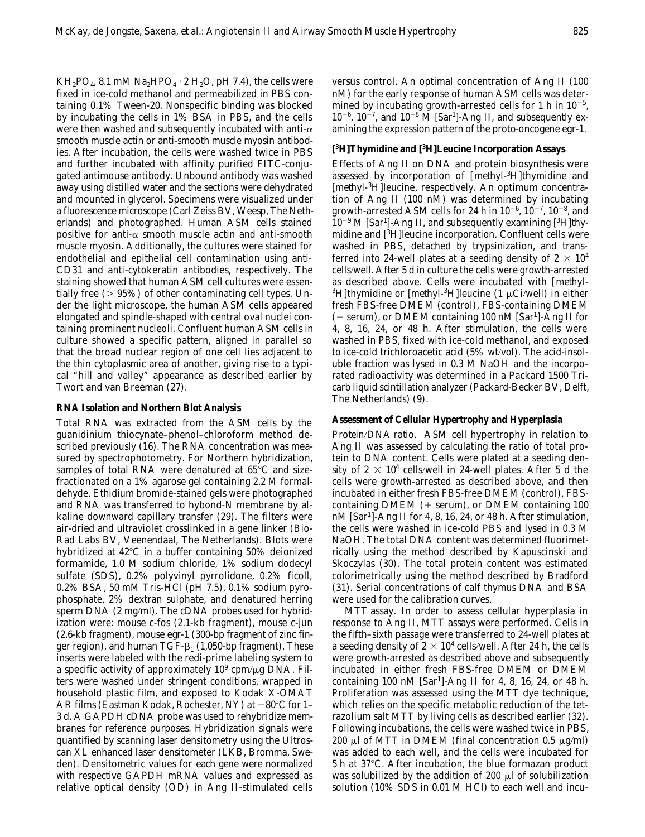$KH_2PO_4$ , 8.1 mM Na<sub>2</sub>HPO<sub>4</sub> · 2 H<sub>2</sub>O, pH 7.4), the cells were fixed in ice-cold methanol and permeabilized in PBS containing 0.1% Tween-20. Nonspecific binding was blocked by incubating the cells in 1% BSA in PBS, and the cells were then washed and subsequently incubated with anti- $\alpha$ smooth muscle actin or anti-smooth muscle myosin antibodies. After incubation, the cells were washed twice in PBS and further incubated with affinity purified FITC-conjugated antimouse antibody. Unbound antibody was washed away using distilled water and the sections were dehydrated and mounted in glycerol. Specimens were visualized under a fluorescence microscope (Carl Zeiss BV, Weesp, The Netherlands) and photographed. Human ASM cells stained positive for anti- $\alpha$  smooth muscle actin and anti-smooth muscle myosin. Additionally, the cultures were stained for endothelial and epithelial cell contamination using anti-CD31 and anti-cytokeratin antibodies, respectively. The staining showed that human ASM cell cultures were essentially free  $(> 95\%)$  of other contaminating cell types. Under the light microscope, the human ASM cells appeared elongated and spindle-shaped with central oval nuclei containing prominent nucleoli. Confluent human ASM cells in culture showed a specific pattern, aligned in parallel so that the broad nuclear region of one cell lies adjacent to the thin cytoplasmic area of another, giving rise to a typical "hill and valley" appearance as described earlier by Twort and van Breeman (27).

#### **RNA Isolation and Northern Blot Analysis**

Total RNA was extracted from the ASM cells by the guanidinium thiocynate–phenol–chloroform method described previously (16). The RNA concentration was measured by spectrophotometry. For Northern hybridization, samples of total RNA were denatured at  $65^{\circ}$ C and sizefractionated on a 1% agarose gel containing 2.2 M formaldehyde. Ethidium bromide-stained gels were photographed and RNA was transferred to hybond-N membrane by alkaline downward capillary transfer (29). The filters were air-dried and ultraviolet crosslinked in a gene linker (Bio-Rad Labs BV, Veenendaal, The Netherlands). Blots were hybridized at  $42^{\circ}$ C in a buffer containing 50% deionized formamide, 1.0 M sodium chloride, 1% sodium dodecyl sulfate (SDS), 0.2% polyvinyl pyrrolidone, 0.2% ficoll, 0.2% BSA, 50 mM Tris-HCl (pH 7.5), 0.1% sodium pyrophosphate, 2% dextran sulphate, and denatured herring sperm DNA (2 mg/ml). The cDNA probes used for hybridization were: mouse c-fos (2.1-kb fragment), mouse c-jun (2.6-kb fragment), mouse egr-1 (300-bp fragment of zinc finger region), and human TGF- $\beta_1$  (1,050-bp fragment). These inserts were labeled with the redi-prime labeling system to a specific activity of approximately  $10^9$  cpm/ $\mu$ g DNA. Filters were washed under stringent conditions, wrapped in household plastic film, and exposed to Kodak X-OMAT AR films (Eastman Kodak, Rochester, NY) at  $-80^{\circ}$ C for 1– 3 d. A GAPDH cDNA probe was used to rehybridize membranes for reference purposes. Hybridization signals were quantified by scanning laser densitometry using the Ultroscan XL enhanced laser densitometer (LKB, Bromma, Sweden). Densitometric values for each gene were normalized with respective GAPDH mRNA values and expressed as relative optical density (OD) in Ang II-stimulated cells versus control. An optimal concentration of Ang II (100 nM) for the early response of human ASM cells was determined by incubating growth-arrested cells for 1 h in  $10^{-5}$ ,  $10^{-6}$ ,  $10^{-7}$ , and  $10^{-8}$  M [Sar<sup>1</sup>]-Ang II, and subsequently examining the expression pattern of the proto-oncogene egr-1.

#### **[ 3 H]Thymidine and [3 H]Leucine Incorporation Assays**

Effects of Ang II on DNA and protein biosynthesis were assessed by incorporation of [*methyl*-3 H]thymidine and [*methyl*-3 H]leucine, respectively. An optimum concentration of Ang II (100 nM) was determined by incubating growth-arrested ASM cells for 24 h in  $10^{-6}$ ,  $10^{-7}$ ,  $10^{-8}$ , and  $10^{-9}$  M [Sar<sup>1</sup>]-Ang II, and subsequently examining [<sup>3</sup>H]thymidine and [3 H]leucine incorporation. Confluent cells were washed in PBS, detached by trypsinization, and transferred into 24-well plates at a seeding density of  $2 \times 10^4$ cells/well. After 5 d in culture the cells were growth-arrested as described above. Cells were incubated with [*methyl*- <sup>3</sup>H]thymidine or [*methyl*-<sup>3</sup>H]leucine (1 μCi/well) in either fresh FBS-free DMEM (control), FBS-containing DMEM (+ serum), or DMEM containing 100 nM [Sar<sup>1</sup>]-Ang II for 4, 8, 16, 24, or 48 h. After stimulation, the cells were washed in PBS, fixed with ice-cold methanol, and exposed to ice-cold trichloroacetic acid (5% wt/vol). The acid-insoluble fraction was lysed in 0.3 M NaOH and the incorporated radioactivity was determined in a Packard 1500 Tricarb liquid scintillation analyzer (Packard-Becker BV, Delft, The Netherlands) (9).

## **Assessment of Cellular Hypertrophy and Hyperplasia**

*Protein*/*DNA ratio.* ASM cell hypertrophy in relation to Ang II was assessed by calculating the ratio of total protein to DNA content. Cells were plated at a seeding density of 2  $\times$  10<sup>4</sup> cells/well in 24-well plates. After 5 d the cells were growth-arrested as described above, and then incubated in either fresh FBS-free DMEM (control), FBScontaining DMEM  $(+$  serum), or DMEM containing 100 nM [Sar1 ]-Ang II for 4, 8, 16, 24, or 48 h. After stimulation, the cells were washed in ice-cold PBS and lysed in 0.3 M NaOH. The total DNA content was determined fluorimetrically using the method described by Kapuscinski and Skoczylas (30). The total protein content was estimated colorimetrically using the method described by Bradford (31). Serial concentrations of calf thymus DNA and BSA were used for the calibration curves.

*MTT assay.* In order to assess cellular hyperplasia in response to Ang II, MTT assays were performed. Cells in the fifth–sixth passage were transferred to 24-well plates at a seeding density of 2  $\times$  10<sup>4</sup> cells/well. After 24 h, the cells were growth-arrested as described above and subsequently incubated in either fresh FBS-free DMEM or DMEM containing 100 nM [Sar<sup>1</sup> ]-Ang II for 4, 8, 16, 24, or 48 h. Proliferation was assessed using the MTT dye technique, which relies on the specific metabolic reduction of the tetrazolium salt MTT by living cells as described earlier (32). Following incubations, the cells were washed twice in PBS, 200 µl of MTT in DMEM (final concentration 0.5  $\mu$ g/ml) was added to each well, and the cells were incubated for  $5 h$  at  $37^{\circ}$ C. After incubation, the blue formazan product was solubilized by the addition of 200  $\mu$ l of solubilization solution (10% SDS in 0.01 M HCl) to each well and incu-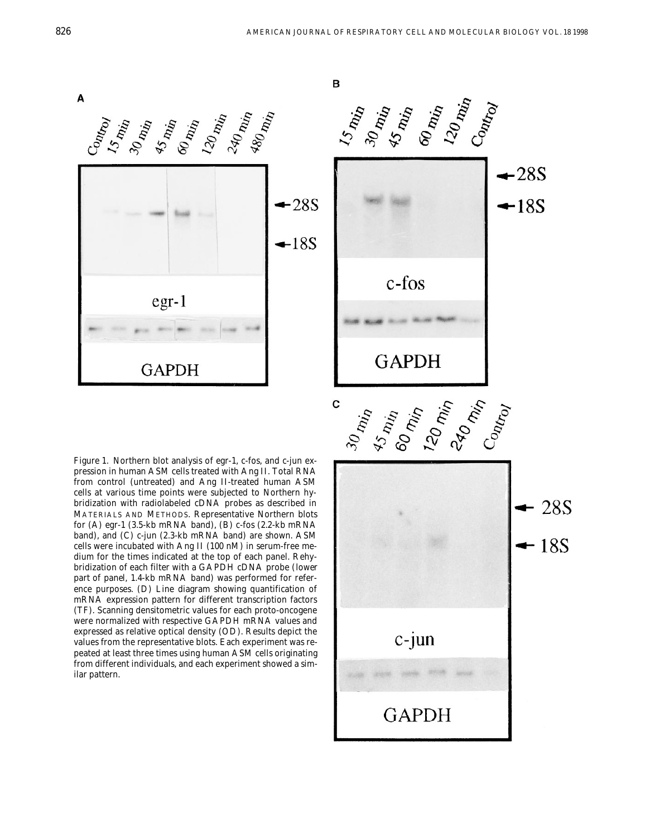B





*Figure 1*. Northern blot analysis of egr-1, c-fos, and c-jun expression in human ASM cells treated with Ang II. Total RNA from control (untreated) and Ang II-treated human ASM cells at various time points were subjected to Northern hybridization with radiolabeled cDNA probes as described in MATERIALS AND METHODS. Representative Northern blots for (*A*) egr-1 (3.5-kb mRNA band), (*B*) c-fos (2.2-kb mRNA band), and (*C*) c-jun (2.3-kb mRNA band) are shown. ASM cells were incubated with Ang II (100 nM) in serum-free medium for the times indicated at the top of each panel. Rehybridization of each filter with a GAPDH cDNA probe (*lower part of panel*, 1.4-kb mRNA band) was performed for reference purposes. (*D*) Line diagram showing quantification of mRNA expression pattern for different transcription factors (TF). Scanning densitometric values for each proto-oncogene were normalized with respective GAPDH mRNA values and expressed as relative optical density (OD). Results depict the values from the representative blots. Each experiment was repeated at least three times using human ASM cells originating from different individuals, and each experiment showed a similar pattern.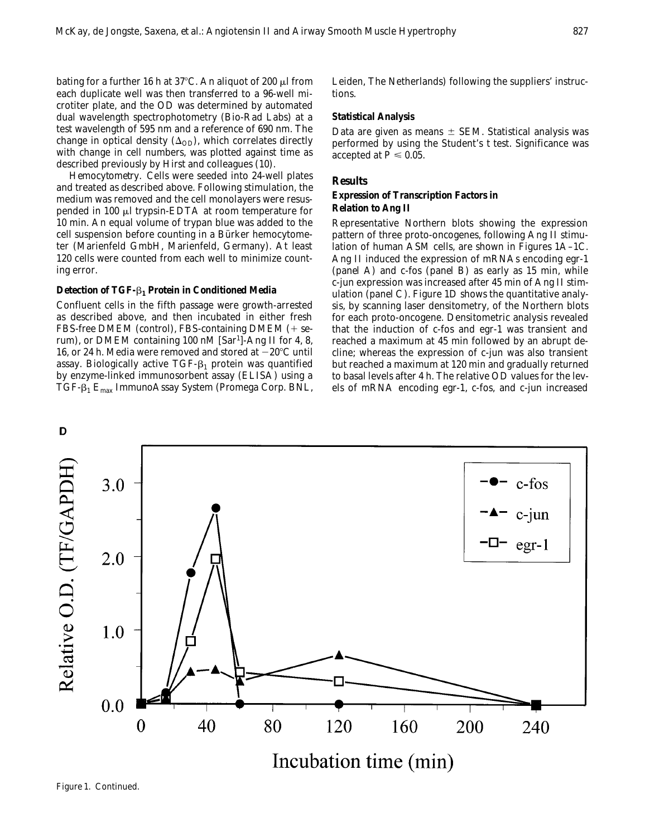bating for a further 16 h at 37°C. An aliquot of 200  $\mu$ l from each duplicate well was then transferred to a 96-well microtiter plate, and the OD was determined by automated dual wavelength spectrophotometry (Bio-Rad Labs) at a test wavelength of 595 nm and a reference of 690 nm. The change in optical density  $(\Delta_{OD})$ , which correlates directly with change in cell numbers, was plotted against time as described previously by Hirst and colleagues (10).

*Hemocytometry.* Cells were seeded into 24-well plates and treated as described above. Following stimulation, the medium was removed and the cell monolayers were resuspended in 100  $\mu$ l trypsin-EDTA at room temperature for 10 min. An equal volume of trypan blue was added to the cell suspension before counting in a Bürker hemocytometer (Marienfeld GmbH, Marienfeld, Germany). At least 120 cells were counted from each well to minimize counting error.

#### **Detection of TGF-**b**1 Protein in Conditioned Media**

Confluent cells in the fifth passage were growth-arrested as described above, and then incubated in either fresh FBS-free DMEM (control), FBS-containing DMEM  $(+)$  serum), or DMEM containing 100 nM [Sar<sup>1</sup>]-Ang II for 4, 8, 16, or 24 h. Media were removed and stored at  $-20^{\circ}$ C until assay. Biologically active TGF- $\beta_1$  protein was quantified by enzyme-linked immunosorbent assay (ELISA) using a TGF- $\beta_1$  E<sub>max</sub> ImmunoAssay System (Promega Corp. BNL, Leiden, The Netherlands) following the suppliers' instructions.

#### **Statistical Analysis**

Data are given as means  $\pm$  SEM. Statistical analysis was performed by using the Student's *t* test. Significance was accepted at  $P \leq 0.05$ .

#### **Results**

#### **Expression of Transcription Factors in Relation to Ang II**

Representative Northern blots showing the expression pattern of three proto-oncogenes, following Ang II stimulation of human ASM cells, are shown in Figures 1A–1C. Ang II induced the expression of mRNAs encoding egr-1 (*panel A*) and c-fos (*panel B*) as early as 15 min, while c-jun expression was increased after 45 min of Ang II stimulation (*panel C*). Figure 1D shows the quantitative analysis, by scanning laser densitometry, of the Northern blots for each proto-oncogene. Densitometric analysis revealed that the induction of c-fos and egr-1 was transient and reached a maximum at 45 min followed by an abrupt decline; whereas the expression of c-jun was also transient but reached a maximum at 120 min and gradually returned to basal levels after 4 h. The relative OD values for the levels of mRNA encoding egr-1, c-fos, and c-jun increased



*Figure 1*. Continued.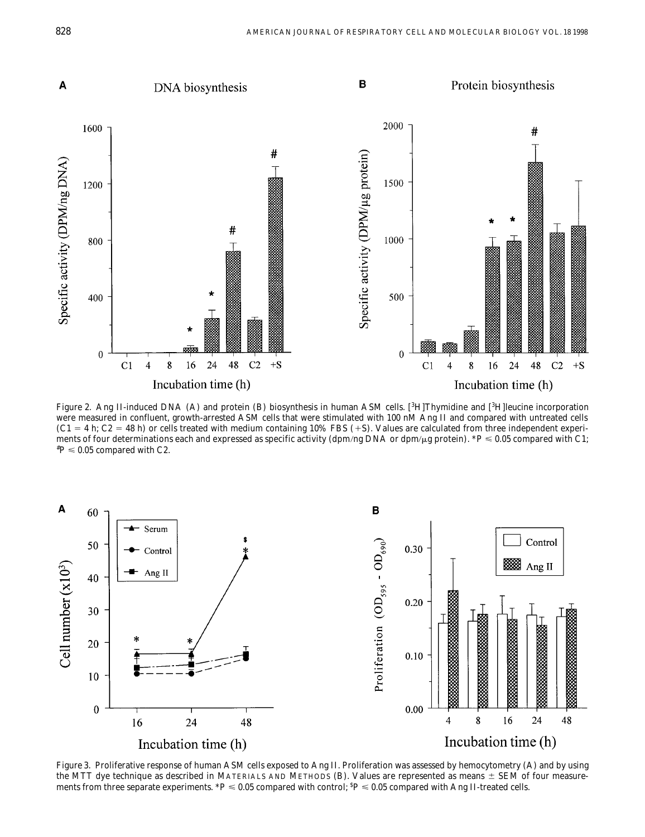

*Figure 2.* Ang II-induced DNA (A) and protein (B) biosynthesis in human ASM cells. [<sup>3</sup>H]Thymidine and [<sup>3</sup>H]leucine incorporation were measured in confluent, growth-arrested ASM cells that were stimulated with 100 nM Ang II and compared with untreated cells  $(C1 = 4 \text{ h}; C2 = 48 \text{ h})$  or cells treated with medium containing 10% FBS (+S). Values are calculated from three independent experiments of four determinations each and expressed as specific activity (dpm/ng DNA or dpm/µg protein). \**P* ≤ 0.05 compared with C1;  ${}^{\ast}P$   $\leqslant$  0.05 compared with C2.



*Figure 3.* Proliferative response of human ASM cells exposed to Ang II. Proliferation was assessed by hemocytometry (*A*) and by using the MTT dye technique as described in MATERIALS AND METHODS ( $B$ ). Values are represented as means  $\pm$  SEM of four measurements from three separate experiments.  $^*P \leqslant 0.05$  compared with control;  $^5P \leqslant 0.05$  compared with Ang II-treated cells.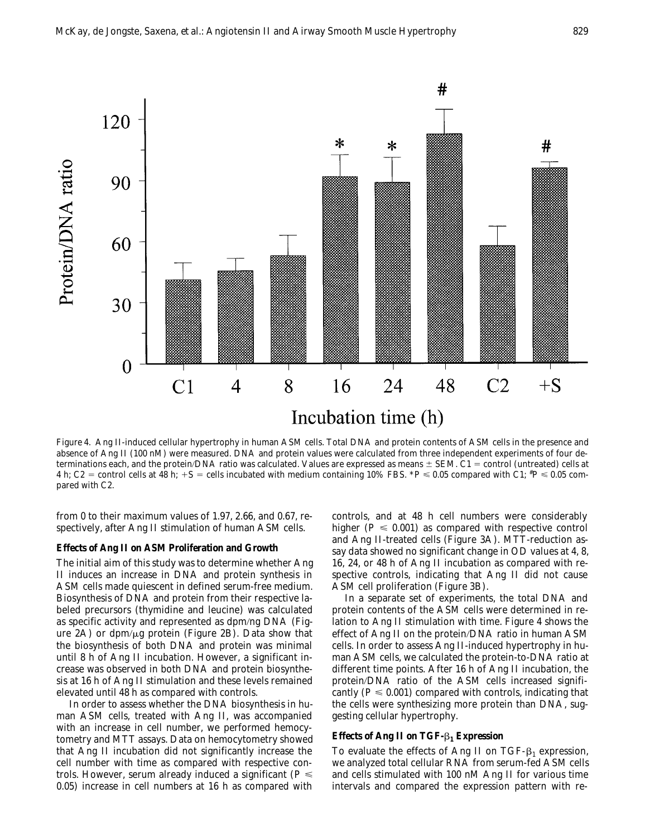

*Figure 4*. Ang II-induced cellular hypertrophy in human ASM cells. Total DNA and protein contents of ASM cells in the presence and absence of Ang II (100 nM) were measured. DNA and protein values were calculated from three independent experiments of four determinations each, and the protein/DNA ratio was calculated. Values are expressed as means  $\pm$  SEM. C1 = control (untreated) cells at 4 h; C2 = control cells at 48 h;  $+S$  = cells incubated with medium containing 10% FBS.  $^*P \leqslant 0.05$  compared with C1;  $^*P \leqslant 0.05$  compared with C2.

from 0 to their maximum values of 1.97, 2.66, and 0.67, respectively, after Ang II stimulation of human ASM cells.

### **Effects of Ang II on ASM Proliferation and Growth**

The initial aim of this study was to determine whether Ang II induces an increase in DNA and protein synthesis in ASM cells made quiescent in defined serum-free medium. Biosynthesis of DNA and protein from their respective labeled precursors (thymidine and leucine) was calculated as specific activity and represented as dpm/ng DNA (Figure 2A) or dpm/ $\mu$ g protein (Figure 2B). Data show that the biosynthesis of both DNA and protein was minimal until 8 h of Ang II incubation. However, a significant increase was observed in both DNA and protein biosynthesis at 16 h of Ang II stimulation and these levels remained elevated until 48 h as compared with controls.

In order to assess whether the DNA biosynthesis in human ASM cells, treated with Ang II, was accompanied with an increase in cell number, we performed hemocytometry and MTT assays. Data on hemocytometry showed that Ang II incubation did not significantly increase the cell number with time as compared with respective controls. However, serum already induced a significant ( $P \leq$ 0.05) increase in cell numbers at 16 h as compared with controls, and at 48 h cell numbers were considerably higher ( $P \le 0.001$ ) as compared with respective control and Ang II-treated cells (Figure 3A). MTT-reduction assay data showed no significant change in OD values at 4, 8, 16, 24, or 48 h of Ang II incubation as compared with respective controls, indicating that Ang II did not cause ASM cell proliferation (Figure 3B).

In a separate set of experiments, the total DNA and protein contents of the ASM cells were determined in relation to Ang II stimulation with time. Figure 4 shows the effect of Ang II on the protein/DNA ratio in human ASM cells. In order to assess Ang II-induced hypertrophy in human ASM cells, we calculated the protein-to-DNA ratio at different time points. After 16 h of Ang II incubation, the protein/DNA ratio of the ASM cells increased significantly ( $P \le 0.001$ ) compared with controls, indicating that the cells were synthesizing more protein than DNA, suggesting cellular hypertrophy.

## **Effects of Ang II on TGF-**b**1 Expression**

To evaluate the effects of Ang II on TGF- $\beta_1$  expression, we analyzed total cellular RNA from serum-fed ASM cells and cells stimulated with 100 nM Ang II for various time intervals and compared the expression pattern with re-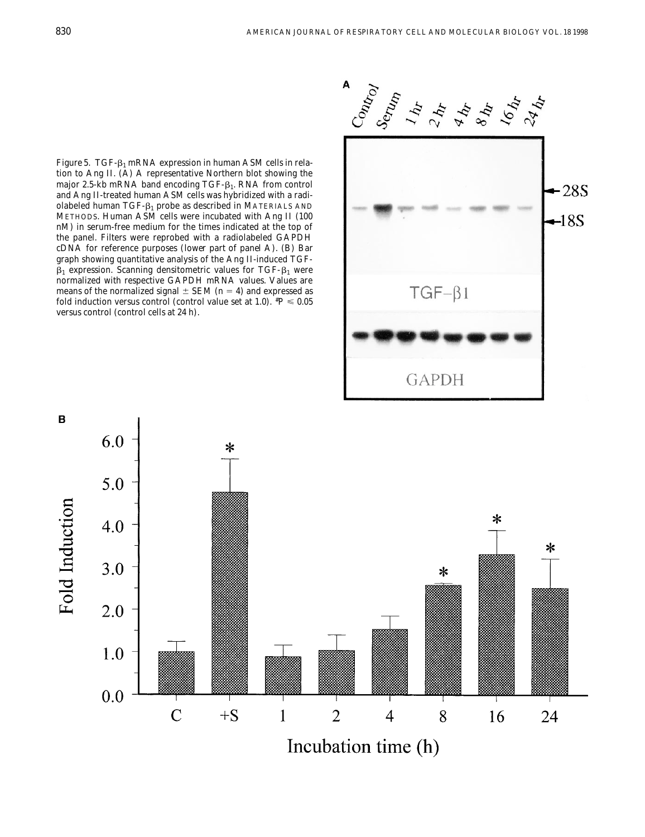*Figure 5.* TGF- $\beta_1$  mRNA expression in human ASM cells in relation to Ang II. (*A*) A representative Northern blot showing the major 2.5-kb mRNA band encoding TGF- $\beta_1$ . RNA from control and Ang II-treated human ASM cells was hybridized with a radiolabeled human TGF- $\beta_1$  probe as described in MATERIALS AND METHODS. Human ASM cells were incubated with Ang II (100 nM) in serum-free medium for the times indicated at the top of the panel. Filters were reprobed with a radiolabeled GAPDH cDNA for reference purposes (*lower part of panel A*). (*B*) Bar graph showing quantitative analysis of the Ang II-induced TGF- $\beta_1$  expression. Scanning densitometric values for TGF- $\beta_1$  were normalized with respective GAPDH mRNA values. Values are means of the normalized signal  $\pm$  SEM ( $n = 4$ ) and expressed as fold induction versus control (control value set at 1.0).  $^{\#}P$   $\leqslant$  0.05 versus control (control cells at 24 h).



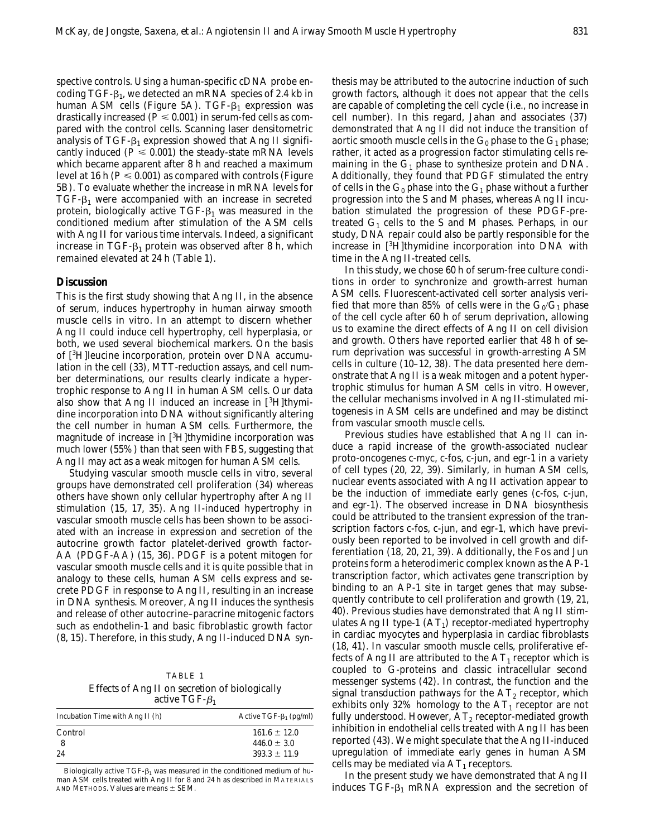spective controls. Using a human-specific cDNA probe encoding  $TGF- $\beta_1$ , we detected an mRNA species of 2.4 kb in$ human ASM cells (Figure 5A). TGF- $\beta_1$  expression was drastically increased ( $\overline{P} \le 0.001$ ) in serum-fed cells as compared with the control cells. Scanning laser densitometric analysis of  $TGF- $\beta_1$  expression showed that Ang II signifi$ cantly induced ( $P \le 0.001$ ) the steady-state mRNA levels which became apparent after 8 h and reached a maximum level at 16 h ( $P \le 0.001$ ) as compared with controls (Figure 5B). To evaluate whether the increase in mRNA levels for  $TGF-<sub>1</sub>$  were accompanied with an increase in secreted protein, biologically active  $TGF- $\beta_1$  was measured in the$ conditioned medium after stimulation of the ASM cells with Ang II for various time intervals. Indeed, a significant increase in TGF- $\beta_1$  protein was observed after 8 h, which remained elevated at 24 h (Table 1).

#### **Discussion**

This is the first study showing that Ang II, in the absence of serum, induces hypertrophy in human airway smooth muscle cells *in vitro*. In an attempt to discern whether Ang II could induce cell hypertrophy, cell hyperplasia, or both, we used several biochemical markers. On the basis of [<sup>3</sup> H]leucine incorporation, protein over DNA accumulation in the cell (33), MTT-reduction assays, and cell number determinations, our results clearly indicate a hypertrophic response to Ang II in human ASM cells. Our data also show that Ang II induced an increase in [3H]thymidine incorporation into DNA without significantly altering the cell number in human ASM cells. Furthermore, the magnitude of increase in [<sup>3</sup>H]thymidine incorporation was much lower (55%) than that seen with FBS, suggesting that Ang II may act as a weak mitogen for human ASM cells.

Studying vascular smooth muscle cells *in vitro*, several groups have demonstrated cell proliferation (34) whereas others have shown only cellular hypertrophy after Ang II stimulation (15, 17, 35). Ang II-induced hypertrophy in vascular smooth muscle cells has been shown to be associated with an increase in expression and secretion of the autocrine growth factor platelet-derived growth factor-AA (PDGF-AA) (15, 36). PDGF is a potent mitogen for vascular smooth muscle cells and it is quite possible that in analogy to these cells, human ASM cells express and secrete PDGF in response to Ang II, resulting in an increase in DNA synthesis. Moreover, Ang II induces the synthesis and release of other autocrine–paracrine mitogenic factors such as endothelin-1 and basic fibroblastic growth factor (8, 15). Therefore, in this study, Ang II-induced DNA syn-

TABLE 1 *Effects of Ang II on secretion of biologically active TGF-*b*<sup>1</sup>*

| Incubation Time with Ang II $(h)$ | Active TGF- $\beta_1$ (pg/ml) |
|-----------------------------------|-------------------------------|
| Control                           | $161.6 \pm 12.0$              |
|                                   | $446.0 \pm 3.0$               |
| 24                                | $393.3 \pm 11.9$              |

Biologically active TGF- $\beta_1$  was measured in the conditioned medium of human ASM cells treated with Ang II for 8 and 24 h as described in MATERIALS AND METHODS. Values are means  $\pm$  SEM.

thesis may be attributed to the autocrine induction of such growth factors, although it does not appear that the cells are capable of completing the cell cycle (i.e., no increase in cell number). In this regard, Jahan and associates (37) demonstrated that Ang II did not induce the transition of aortic smooth muscle cells in the  $G_0$  phase to the  $G_1$  phase; rather, it acted as a progression factor stimulating cells remaining in the  $G_1$  phase to synthesize protein and DNA. Additionally, they found that PDGF stimulated the entry of cells in the  $G_0$  phase into the  $G_1$  phase without a further progression into the S and M phases, whereas Ang II incubation stimulated the progression of these PDGF-pretreated  $G_1$  cells to the S and M phases. Perhaps, in our study, DNA repair could also be partly responsible for the increase in [<sup>3</sup> H]thymidine incorporation into DNA with time in the Ang II-treated cells.

In this study, we chose 60 h of serum-free culture conditions in order to synchronize and growth-arrest human ASM cells. Fluorescent-activated cell sorter analysis verified that more than 85% of cells were in the  $G_0/G_1$  phase of the cell cycle after 60 h of serum deprivation, allowing us to examine the direct effects of Ang II on cell division and growth. Others have reported earlier that 48 h of serum deprivation was successful in growth-arresting ASM cells in culture (10–12, 38). The data presented here demonstrate that Ang II is a weak mitogen and a potent hypertrophic stimulus for human ASM cells *in vitro*. However, the cellular mechanisms involved in Ang II-stimulated mitogenesis in ASM cells are undefined and may be distinct from vascular smooth muscle cells.

Previous studies have established that Ang II can induce a rapid increase of the growth-associated nuclear proto-oncogenes c-myc, c-fos, c-jun, and egr-1 in a variety of cell types (20, 22, 39). Similarly, in human ASM cells, nuclear events associated with Ang II activation appear to be the induction of immediate early genes (c-fos, c-jun, and egr-1). The observed increase in DNA biosynthesis could be attributed to the transient expression of the transcription factors c-fos, c-jun, and egr-1, which have previously been reported to be involved in cell growth and differentiation (18, 20, 21, 39). Additionally, the Fos and Jun proteins form a heterodimeric complex known as the AP-1 transcription factor, which activates gene transcription by binding to an AP-1 site in target genes that may subsequently contribute to cell proliferation and growth (19, 21, 40). Previous studies have demonstrated that Ang II stimulates Ang II type-1  $(AT<sub>1</sub>)$  receptor-mediated hypertrophy in cardiac myocytes and hyperplasia in cardiac fibroblasts (18, 41). In vascular smooth muscle cells, proliferative effects of Ang II are attributed to the  $AT_1$  receptor which is coupled to G-proteins and classic intracellular second messenger systems (42). In contrast, the function and the signal transduction pathways for the  $AT_2$  receptor, which exhibits only 32% homology to the  $AT_1$  receptor are not fully understood. However,  $AT_2$  receptor-mediated growth inhibition in endothelial cells treated with Ang II has been reported (43). We might speculate that the Ang II-induced upregulation of immediate early genes in human ASM cells may be mediated via  $AT_1$  receptors.

In the present study we have demonstrated that Ang II induces TGF- $\beta_1$  mRNA expression and the secretion of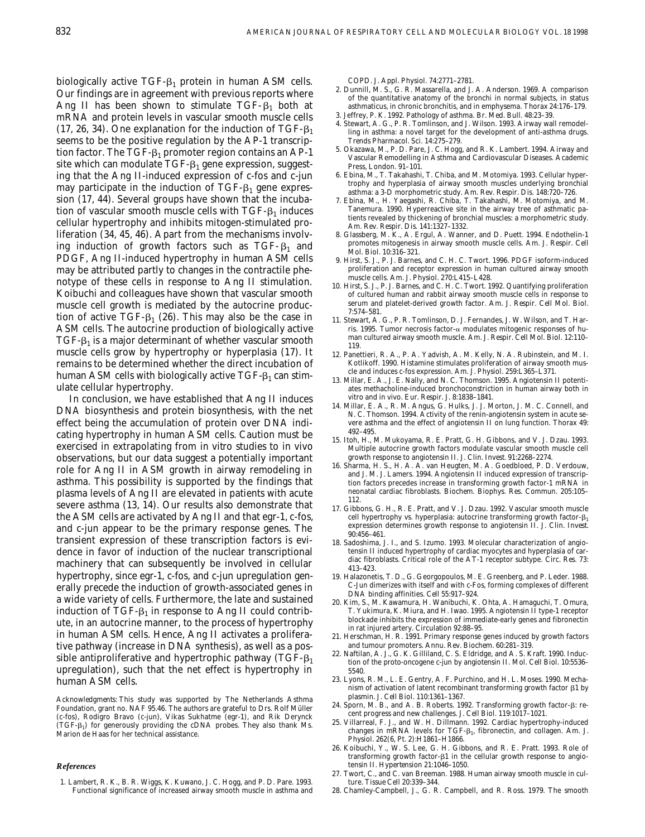biologically active  $TGF-<sub>1</sub>$  protein in human ASM cells. Our findings are in agreement with previous reports where Ang II has been shown to stimulate  $TGF- $\beta_1$  both at$ mRNA and protein levels in vascular smooth muscle cells (17, 26, 34). One explanation for the induction of TGF- $\beta_1$ seems to be the positive regulation by the AP-1 transcription factor. The TGF- $\beta_1$  promoter region contains an AP-1 site which can modulate  $TGF-<sub>1</sub>$  gene expression, suggesting that the Ang II-induced expression of c-fos and c-jun may participate in the induction of  $TGF-<sub>1</sub>$  gene expression (17, 44). Several groups have shown that the incubation of vascular smooth muscle cells with  $TGF- $\beta_1$  induces$ cellular hypertrophy and inhibits mitogen-stimulated proliferation (34, 45, 46). Apart from the mechanisms involving induction of growth factors such as TGF- $\beta_1$  and PDGF, Ang II-induced hypertrophy in human ASM cells may be attributed partly to changes in the contractile phenotype of these cells in response to Ang II stimulation. Koibuchi and colleagues have shown that vascular smooth muscle cell growth is mediated by the autocrine production of active TGF- $\beta_1$  (26). This may also be the case in ASM cells. The autocrine production of biologically active TGF- $\beta_1$  is a major determinant of whether vascular smooth muscle cells grow by hypertrophy or hyperplasia (17). It remains to be determined whether the direct incubation of human ASM cells with biologically active  $TGF- $\beta_1$  can stim$ ulate cellular hypertrophy.

In conclusion, we have established that Ang II induces DNA biosynthesis and protein biosynthesis, with the net effect being the accumulation of protein over DNA indicating hypertrophy in human ASM cells. Caution must be exercised in extrapolating from *in vitro* studies to *in vivo* observations, but our data suggest a potentially important role for Ang II in ASM growth in airway remodeling in asthma. This possibility is supported by the findings that plasma levels of Ang II are elevated in patients with acute severe asthma (13, 14). Our results also demonstrate that the ASM cells are activated by Ang II and that egr-1, c-fos, and c-jun appear to be the primary response genes. The transient expression of these transcription factors is evidence in favor of induction of the nuclear transcriptional machinery that can subsequently be involved in cellular hypertrophy, since egr-1, c-fos, and c-jun upregulation generally precede the induction of growth-associated genes in a wide variety of cells. Furthermore, the late and sustained induction of TGF- $\beta_1$  in response to Ang II could contribute, in an autocrine manner, to the process of hypertrophy in human ASM cells. Hence, Ang II activates a proliferative pathway (increase in DNA synthesis), as well as a possible antiproliferative and hypertrophic pathway (TGF- $\beta_1$ ) upregulation), such that the net effect is hypertrophy in human ASM cells.

*Acknowledgments:* This study was supported by The Netherlands Asthma Foundation, grant no. NAF 95.46. The authors are grateful to Drs. Rolf Müller (c-fos), Rodigro Bravo (c-jun), Vikas Sukhatme (egr-1), and Rik Derynck  $(TGF- $\beta_1$ )$  for generously providing the cDNA probes. They also thank Ms. Marion de Haas for her technical assistance.

#### *References*

1. Lambert, R. K., B. R. Wiggs, K. Kuwano, J. C. Hogg, and P. D. Pare. 1993. Functional significance of increased airway smooth muscle in asthma and COPD. *J. Appl. Physiol.* 74:2771–2781.

- 2. Dunnill, M. S., G. R. Massarella, and J. A. Anderson. 1969. A comparison of the quantitative anatomy of the bronchi in normal subjects, in status asthmaticus, in chronic bronchitis, and in emphysema. *Thorax* 24:176–179.
- 3. Jeffrey, P. K. 1992. Pathology of asthma. *Br. Med. Bull.* 48:23–39.
- 4. Stewart, A. G., P. R. Tomlinson, and J. Wilson. 1993. Airway wall remodelling in asthma: a novel target for the development of anti-asthma drugs. *Trends Pharmacol. Sci*. 14:275–279.
- 5. Okazawa, M., P. D. Pare, J. C. Hogg, and R. K. Lambert. 1994. Airway and Vascular Remodelling in Asthma and Cardiovascular Diseases. Academic Press, London. 91–101.
- 6. Ebina, M., T. Takahashi, T. Chiba, and M. Motomiya. 1993. Cellular hypertrophy and hyperplasia of airway smooth muscles underlying bronchial asthma: a 3-D morphometric study. *Am. Rev. Respir. Dis.* 148:720–726.
- 7. Ebina, M., H. Yaegashi, R. Chiba, T. Takahashi, M. Motomiya, and M. Tanemura. 1990. Hyperreactive site in the airway tree of asthmatic patients revealed by thickening of bronchial muscles: a morphometric study. *Am. Rev. Respir. Dis.* 141:1327–1332.
- 8. Glassberg, M. K., A. Ergul, A. Wanner, and D. Puett. 1994. Endothelin-1 promotes mitogenesis in airway smooth muscle cells. *Am. J. Respir. Cell Mol. Biol.* 10:316–321.
- 9. Hirst, S. J., P. J. Barnes, and C. H. C. Twort. 1996. PDGF isoform-induced proliferation and receptor expression in human cultured airway smooth muscle cells. *Am. J. Physiol.* 270:L415–L428.
- 10. Hirst, S. J., P. J. Barnes, and C. H. C. Twort. 1992. Quantifying proliferation of cultured human and rabbit airway smooth muscle cells in response to serum and platelet-derived growth factor. *Am. J. Respir. Cell Mol. Biol.* 7:574–581.
- 11. Stewart, A. G., P. R. Tomlinson, D. J. Fernandes, J. W. Wilson, and T. Harris. 1995. Tumor necrosis factor-a modulates mitogenic responses of human cultured airway smooth muscle. *Am. J. Respir. Cell Mol. Biol.* 12:110– 119.
- 12. Panettieri, R. A., P. A. Yadvish, A. M. Kelly, N. A. Rubinstein, and M. I. Kotlikoff. 1990. Histamine stimulates proliferation of airway smooth muscle and induces c-fos expression. *Am. J. Physiol.* 259:L365–L371.
- 13. Millar, E. A., J. E. Nally, and N. C. Thomson. 1995. Angiotensin II potentiates methacholine-induced bronchoconstriction in human airway both in vitro and in vivo. *Eur. Respir. J.* 8:1838–1841.
- 14. Millar, E. A., R. M. Angus, G. Hulks, J. J. Morton, J. M. C. Connell, and N. C. Thomson. 1994. Activity of the renin-angiotensin system in acute severe asthma and the effect of angiotensin II on lung function. *Thorax* 49: 492–495.
- 15. Itoh, H., M. Mukoyama, R. E. Pratt, G. H. Gibbons, and V. J. Dzau. 1993. Multiple autocrine growth factors modulate vascular smooth muscle cell growth response to angiotensin II. *J. Clin. Invest.* 91:2268–2274.
- 16. Sharma, H. S., H. A. A. van Heugten, M. A. Goedbloed, P. D. Verdouw, and J. M. J. Lamers. 1994. Angiotensin II induced expression of transcription factors precedes increase in transforming growth factor-1 mRNA in neonatal cardiac fibroblasts. *Biochem. Biophys. Res. Commun.* 205:105– 112.
- 17. Gibbons, G. H., R. E. Pratt, and V. J. Dzau. 1992. Vascular smooth muscle cell hypertrophy vs. hyperplasia: autocrine transforming growth factor- $\beta_1$ expression determines growth response to angiotensin II. *J. Clin. Invest.* 90:456–461.
- 18. Sadoshima, J. I., and S. Izumo. 1993. Molecular characterization of angiotensin II induced hypertrophy of cardiac myocytes and hyperplasia of cardiac fibroblasts. Critical role of the AT-1 receptor subtype. *Circ. Res.* 73: 413–423.
- 19. Halazonetis, T. D., G. Georgopoulos, M. E. Greenberg, and P. Leder. 1988. C-Jun dimerizes with itself and with c-Fos, forming complexes of different DNA binding affinities. *Cell* 55:917–924.
- 20. Kim, S., M. Kawamura, H. Wanibuchi, K. Ohta, A. Hamaguchi, T. Omura, T. Yukimura, K. Miura, and H. Iwao. 1995. Angiotensin II type-1 receptor blockade inhibits the expression of immediate-early genes and fibronectin in rat injured artery. *Circulation* 92:88–95.
- 21. Herschman, H. R. 1991. Primary response genes induced by growth factors and tumour promoters. *Annu. Rev. Biochem.* 60:281–319.
- 22. Naftilan, A. J., G. K. Gilliland, C. S. Eldridge, and A. S. Kraft. 1990. Induction of the proto-oncogene c-jun by angiotensin II. *Mol. Cell Biol.* 10:5536– 5540.
- 23. Lyons, R. M., L. E. Gentry, A. F. Purchino, and H. L. Moses. 1990. Mechanism of activation of latent recombinant transforming growth factor  $\beta 1$  by plasmin. *J. Cell Biol.* 110:1361–1367.
- 24. Sporn, M. B., and A. B. Roberts. 1992. Transforming growth factor-b: recent progress and new challenges. *J. Cell Biol.* 119:1017–1021.
- 25. Villarreal, F. J., and W. H. Dillmann. 1992. Cardiac hypertrophy-induced changes in mRNA levels for TGF- $\beta_1$ , fibronectin, and collagen. Am. J. *Physiol.* 262(6, Pt. 2):H1861–H1866.
- 26. Koibuchi, Y., W. S. Lee, G. H. Gibbons, and R. E. Pratt. 1993. Role of transforming growth factor-b1 in the cellular growth response to angiotensin II. *Hypertension* 21:1046–1050.
- 27. Twort, C., and C. van Breeman. 1988. Human airway smooth muscle in culture. *Tissue Cell* 20:339–344.
- 28. Chamley-Campbell, J., G. R. Campbell, and R. Ross. 1979. The smooth